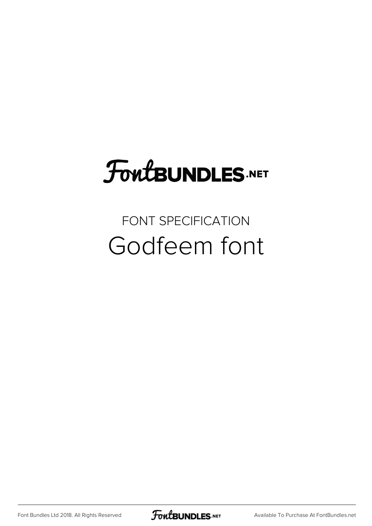## FoutBUNDLES.NET

FONT SPECIFICATION Godfeem font

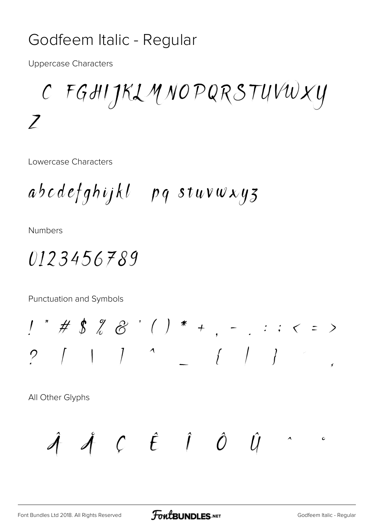#### Godfeem Italic - Regular

**Uppercase Characters** 

C FGHIJKLMNOPQRSTUVWXY  $\overline{\phantom{a}}$ 

Lowercase Characters

abcdefghijkl pq stuvwxyz

**Numbers** 

*0123456789* 

Punctuation and Symbols

All Other Glyphs

 $\hat{\mathcal{A}}$   $\hat{\mathcal{A}}$   $\hat{\mathcal{C}}$   $\hat{\mathcal{E}}$   $\hat{\mathcal{I}}$   $\hat{\mathcal{O}}$   $\hat{\mathcal{U}}$  $\lambda$  $\mathbf c$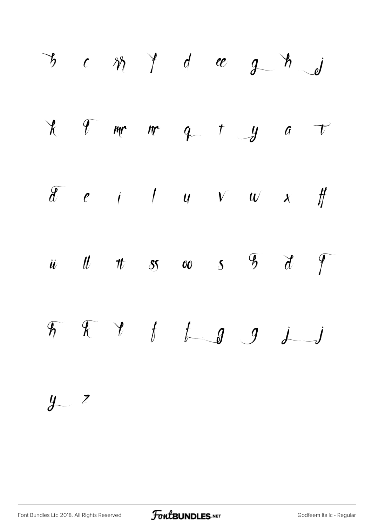

[Font Bundles Ltd 2018. All Rights Reserved](https://fontbundles.net/) **FoutBUNDLES.NET** [Godfeem Italic - Regular](https://fontbundles.net/)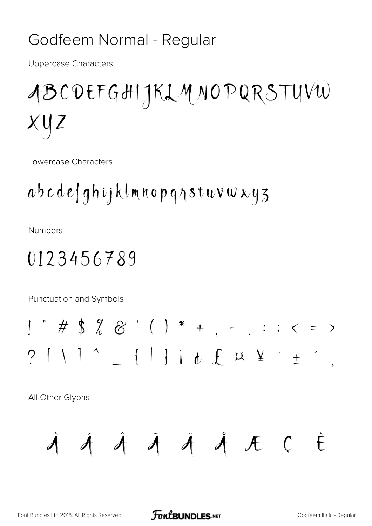#### Godfeem Normal - Regular

**Uppercase Characters** 

## ABCDEFGHIJKLMNOPQRSTUVW  $XUZ$

Lowercase Characters

## abcdefghijklmnopqystuvwxyz

**Numbers** 

### 0123456789

Punctuation and Symbols

 $1$  " # \$ % & ' ( ) \* + , - . : ; < = >  $? \cap \cap \cap \{ | \} \cup \emptyset$  f x x x + + +

All Other Glyphs

$$
\dot{\mathcal{A}}\not\mathcal{A}\dot{\mathcal{A}}\not\mathcal{A}\not\mathcal{A}\not\mathcal{A}\not\mathcal{A}\not\mathcal{C}\dot{\epsilon}
$$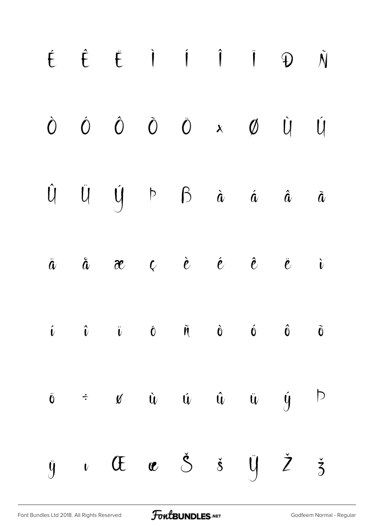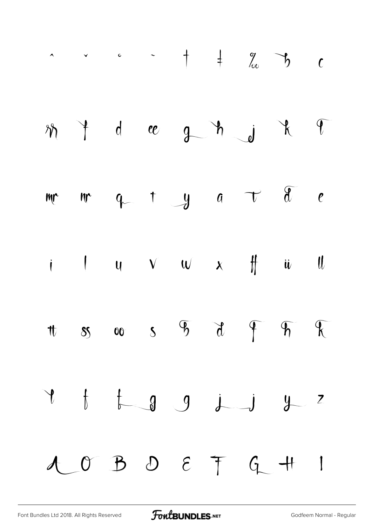